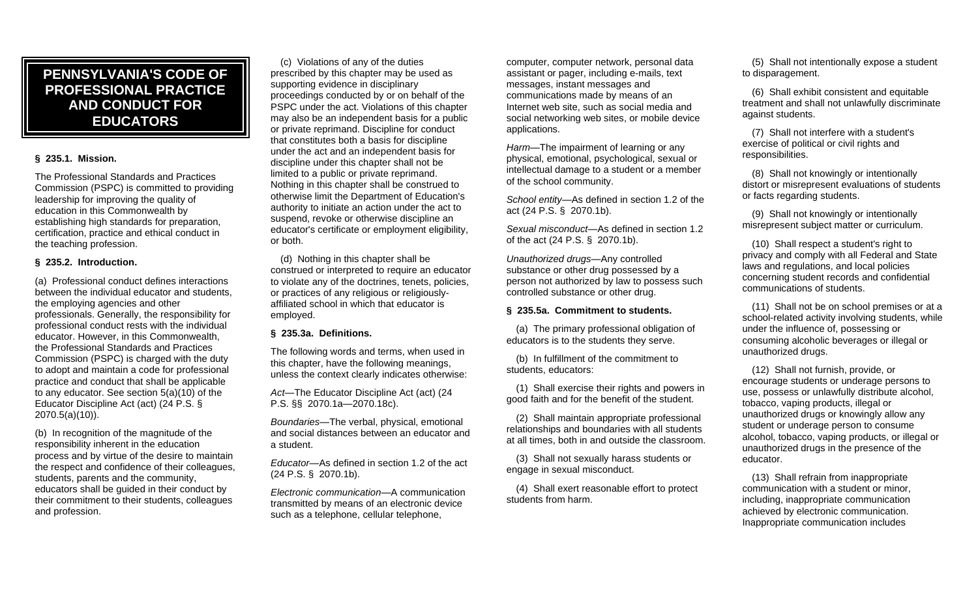# **PENNSYLVANIA'S CODE OF AND CONDUCT FOR PROFESSIONAL PRACTICE EDUCATORS**

## **§ 235.1. Mission.**

 Commission (PSPC) is committed to providing The Professional Standards and Practices leadership for improving the quality of education in this Commonwealth by establishing high standards for preparation, certification, practice and ethical conduct in the teaching profession.

### **§ 235.2. Introduction.**

 Commission (PSPC) is charged with the duty (a) Professional conduct defines interactions between the individual educator and students, the employing agencies and other professionals. Generally, the responsibility for professional conduct rests with the individual educator. However, in this Commonwealth, the Professional Standards and Practices to adopt and maintain a code for professional practice and conduct that shall be applicable to any educator. See section 5(a)(10) of the Educator Discipline Act (act) (24 P.S. § 2070.5(a)(10)).

(b) In recognition of the magnitude of the responsibility inherent in the education process and by virtue of the desire to maintain the respect and confidence of their colleagues, students, parents and the community, educators shall be guided in their conduct by their commitment to their students, colleagues and profession.

 prescribed by this chapter may be used as PSPC under the act. Violations of this chapter may also be an independent basis for a public authority to initiate an action under the act to (c) Violations of any of the duties supporting evidence in disciplinary proceedings conducted by or on behalf of the or private reprimand. Discipline for conduct that constitutes both a basis for discipline under the act and an independent basis for discipline under this chapter shall not be limited to a public or private reprimand. Nothing in this chapter shall be construed to otherwise limit the Department of Education's suspend, revoke or otherwise discipline an educator's certificate or employment eligibility, or both.

 construed or interpreted to require an educator (d) Nothing in this chapter shall be to violate any of the doctrines, tenets, policies, or practices of any religious or religiouslyaffiliated school in which that educator is employed.

# **§ 235.3a. Definitions.**

The following words and terms, when used in this chapter, have the following meanings, unless the context clearly indicates otherwise:

*Act*—The Educator Discipline Act (act) (24 P.S. §§ 2070.1a—2070.18c).

*Boundaries*—The verbal, physical, emotional and social distances between an educator and a student.

 *Educator*—As defined in section 1.2 of the act (24 P.S. § 2070.1b).

*Electronic communication*—A communication transmitted by means of an electronic device such as a telephone, cellular telephone,

 communications made by means of an social networking web sites, or mobile device computer, computer network, personal data assistant or pager, including e-mails, text messages, instant messages and Internet web site, such as social media and applications.

 *Harm*—The impairment of learning or any physical, emotional, psychological, sexual or intellectual damage to a student or a member of the school community.

*School entity*—As defined in section 1.2 of the act (24 P.S. § 2070.1b).

*Sexual misconduct*—As defined in section 1.2 of the act (24 P.S. § 2070.1b).

 substance or other drug possessed by a *Unauthorized drugs*—Any controlled person not authorized by law to possess such controlled substance or other drug.

### **§ 235.5a. Commitment to students.**

(a) The primary professional obligation of educators is to the students they serve.

(b) In fulfillment of the commitment to students, educators:

(1) Shall exercise their rights and powers in good faith and for the benefit of the student.

(2) Shall maintain appropriate professional relationships and boundaries with all students at all times, both in and outside the classroom.

 engage in sexual misconduct. (3) Shall not sexually harass students or

(4) Shall exert reasonable effort to protect students from harm.

(5) Shall not intentionally expose a student to disparagement.

(6) Shall exhibit consistent and equitable treatment and shall not unlawfully discriminate against students.

(7) Shall not interfere with a student's exercise of political or civil rights and responsibilities.

(8) Shall not knowingly or intentionally distort or misrepresent evaluations of students or facts regarding students.

(9) Shall not knowingly or intentionally misrepresent subject matter or curriculum.

(10) Shall respect a student's right to privacy and comply with all Federal and State laws and regulations, and local policies concerning student records and confidential communications of students.

 (11) Shall not be on school premises or at a school-related activity involving students, while under the influence of, possessing or consuming alcoholic beverages or illegal or unauthorized drugs.

 use, possess or unlawfully distribute alcohol, alcohol, tobacco, vaping products, or illegal or (12) Shall not furnish, provide, or encourage students or underage persons to tobacco, vaping products, illegal or unauthorized drugs or knowingly allow any student or underage person to consume unauthorized drugs in the presence of the educator.

(13) Shall refrain from inappropriate communication with a student or minor, including, inappropriate communication achieved by electronic communication. Inappropriate communication includes